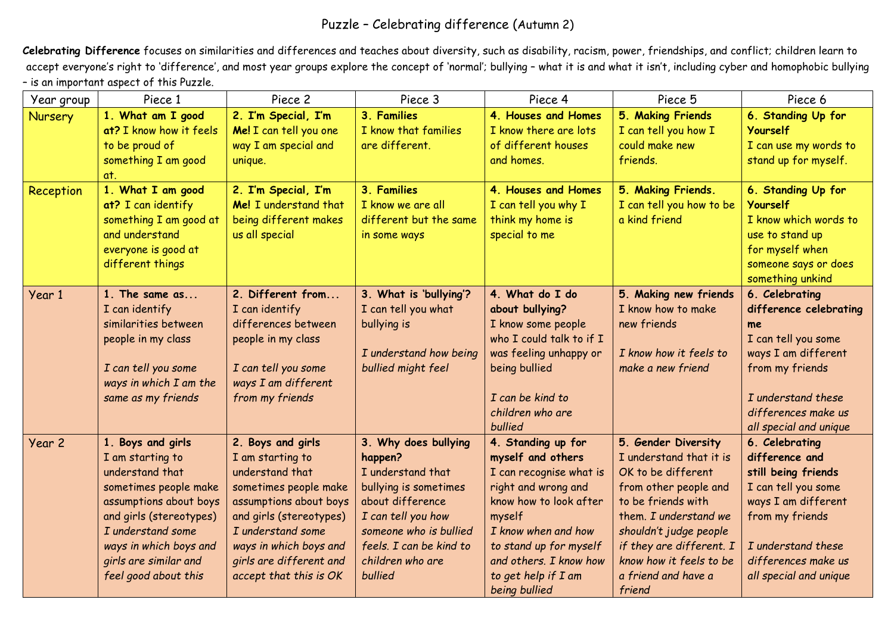## Puzzle – Celebrating difference (Autumn 2)

**Celebrating Difference** focuses on similarities and differences and teaches about diversity, such as disability, racism, power, friendships, and conflict; children learn to accept everyone's right to 'difference', and most year groups explore the concept of 'normal'; bullying - what it is and what it isn't, including cyber and homophobic bullying – is an important aspect of this Puzzle.

| Year group     | Piece 1                                                                                                                                                                                                                                | Piece 2                                                                                                                                                                                                                                    | Piece 3                                                                                                                                                                                                     | Piece 4                                                                                                                                                                                                                                          | Piece 5                                                                                                                                                                                                                                                        | Piece 6                                                                                                                                                                                         |
|----------------|----------------------------------------------------------------------------------------------------------------------------------------------------------------------------------------------------------------------------------------|--------------------------------------------------------------------------------------------------------------------------------------------------------------------------------------------------------------------------------------------|-------------------------------------------------------------------------------------------------------------------------------------------------------------------------------------------------------------|--------------------------------------------------------------------------------------------------------------------------------------------------------------------------------------------------------------------------------------------------|----------------------------------------------------------------------------------------------------------------------------------------------------------------------------------------------------------------------------------------------------------------|-------------------------------------------------------------------------------------------------------------------------------------------------------------------------------------------------|
| <b>Nursery</b> | 1. What am I good<br>at? I know how it feels<br>to be proud of<br>something I am good<br>at.                                                                                                                                           | 2. I'm Special, I'm<br>Me! I can tell you one<br>way I am special and<br>unique.                                                                                                                                                           | 3. Families<br>I know that families<br>are different.                                                                                                                                                       | 4. Houses and Homes<br>I know there are lots<br>of different houses<br>and homes.                                                                                                                                                                | 5. Making Friends<br>I can tell you how I<br>could make new<br>friends.                                                                                                                                                                                        | 6. Standing Up for<br>Yourself<br>I can use my words to<br>stand up for myself.                                                                                                                 |
| Reception      | 1. What I am good<br>at? I can identify<br>something I am good at<br>and understand<br>everyone is good at<br>different things                                                                                                         | 2. I'm Special, I'm<br>Me! I understand that<br>being different makes<br>us all special                                                                                                                                                    | 3. Families<br>I know we are all<br>different but the same<br>in some ways                                                                                                                                  | 4. Houses and Homes<br>I can tell you why I<br>think my home is<br>special to me                                                                                                                                                                 | 5. Making Friends.<br>I can tell you how to be<br>a kind friend                                                                                                                                                                                                | 6. Standing Up for<br><b>Yourself</b><br>I know which words to<br>use to stand up<br>for myself when<br>someone says or does<br>something unkind                                                |
| Year 1         | 1. The same as<br>I can identify<br>similarities between<br>people in my class<br>I can tell you some<br>ways in which I am the<br>same as my friends                                                                                  | 2. Different from<br>I can identify<br>differences between<br>people in my class<br>I can tell you some<br>ways I am different<br>from my friends                                                                                          | 3. What is 'bullying'?<br>I can tell you what<br>bullying is<br>I understand how being<br>bullied might feel                                                                                                | 4. What do I do<br>about bullying?<br>I know some people<br>who I could talk to if I<br>was feeling unhappy or<br>being bullied<br>I can be kind to<br>children who are<br>bullied                                                               | 5. Making new friends<br>I know how to make<br>new friends<br>I know how it feels to<br>make a new friend                                                                                                                                                      | 6. Celebrating<br>difference celebrating<br>me<br>I can tell you some<br>ways I am different<br>from my friends<br>I understand these<br>differences make us<br>all special and unique          |
| Year 2         | 1. Boys and girls<br>I am starting to<br>understand that<br>sometimes people make<br>assumptions about boys<br>and girls (stereotypes)<br>I understand some<br>ways in which boys and<br>girls are similar and<br>feel good about this | 2. Boys and girls<br>I am starting to<br>understand that<br>sometimes people make<br>assumptions about boys<br>and girls (stereotypes)<br>I understand some<br>ways in which boys and<br>girls are different and<br>accept that this is OK | 3. Why does bullying<br>happen?<br>I understand that<br>bullying is sometimes<br>about difference<br>I can tell you how<br>someone who is bullied<br>feels. I can be kind to<br>children who are<br>bullied | 4. Standing up for<br>myself and others<br>I can recognise what is<br>right and wrong and<br>know how to look after<br>myself<br>I know when and how<br>to stand up for myself<br>and others. I know how<br>to get help if I am<br>being bullied | 5. Gender Diversity<br>I understand that it is<br>OK to be different<br>from other people and<br>to be friends with<br>them. I understand we<br>shouldn't judge people<br>if they are different. I<br>know how it feels to be<br>a friend and have a<br>friend | 6. Celebrating<br>difference and<br>still being friends<br>I can tell you some<br>ways I am different<br>from my friends<br>I understand these<br>differences make us<br>all special and unique |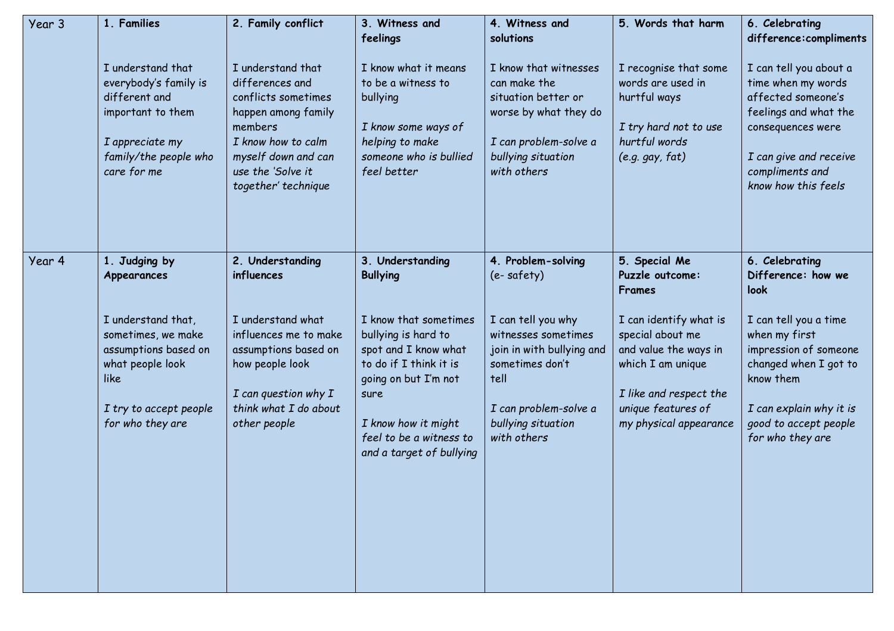| Year 3 | 1. Families                                                                                                                                                                | 2. Family conflict                                                                                                                                                                           | 3. Witness and<br>feelings                                                                                                                                                                                                                          | 4. Witness and<br>solutions                                                                                                                                                                         | 5. Words that harm                                                                                                                                                                                               | 6. Celebrating<br>difference:compliments                                                                                                                                                                                      |
|--------|----------------------------------------------------------------------------------------------------------------------------------------------------------------------------|----------------------------------------------------------------------------------------------------------------------------------------------------------------------------------------------|-----------------------------------------------------------------------------------------------------------------------------------------------------------------------------------------------------------------------------------------------------|-----------------------------------------------------------------------------------------------------------------------------------------------------------------------------------------------------|------------------------------------------------------------------------------------------------------------------------------------------------------------------------------------------------------------------|-------------------------------------------------------------------------------------------------------------------------------------------------------------------------------------------------------------------------------|
|        | I understand that<br>everybody's family is<br>different and<br>important to them<br>I appreciate my<br>family/the people who<br>care for me                                | I understand that<br>differences and<br>conflicts sometimes<br>happen among family<br>members<br>I know how to calm<br>myself down and can<br>use the 'Solve it<br>together' technique       | I know what it means<br>to be a witness to<br>bullying<br>I know some ways of<br>helping to make<br>someone who is bullied<br>feel better                                                                                                           | I know that witnesses<br>can make the<br>situation better or<br>worse by what they do<br>I can problem-solve a<br>bullying situation<br>with others                                                 | I recognise that some<br>words are used in<br>hurtful ways<br>I try hard not to use<br>hurtful words<br>$(e.g.$ gay, $fat)$                                                                                      | I can tell you about a<br>time when my words<br>affected someone's<br>feelings and what the<br>consequences were<br>I can give and receive<br>compliments and<br>know how this feels                                          |
| Year 4 | 1. Judging by<br>Appearances<br>I understand that,<br>sometimes, we make<br>assumptions based on<br>what people look<br>like<br>I try to accept people<br>for who they are | 2. Understanding<br>influences<br>I understand what<br>influences me to make<br>assumptions based on<br>how people look<br>$I$ can question why $I$<br>think what I do about<br>other people | 3. Understanding<br><b>Bullying</b><br>I know that sometimes<br>bullying is hard to<br>spot and I know what<br>to do if I think it is<br>going on but I'm not<br>sure<br>I know how it might<br>feel to be a witness to<br>and a target of bullying | 4. Problem-solving<br>(e-safety)<br>I can tell you why<br>witnesses sometimes<br>join in with bullying and<br>sometimes don't<br>tell<br>I can problem-solve a<br>bullying situation<br>with others | 5. Special Me<br>Puzzle outcome:<br>Frames<br>I can identify what is<br>special about me<br>and value the ways in<br>which I am unique<br>I like and respect the<br>unique features of<br>my physical appearance | 6. Celebrating<br>Difference: how we<br>look<br>I can tell you a time<br>when my first<br>impression of someone<br>changed when I got to<br>know them<br>I can explain why it is<br>good to accept people<br>for who they are |